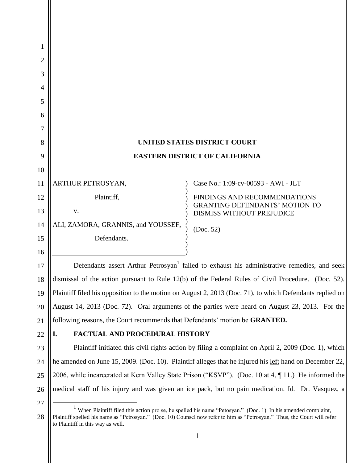| 1        |                                                                                                                                                                                                                                                                              |                                                                           |
|----------|------------------------------------------------------------------------------------------------------------------------------------------------------------------------------------------------------------------------------------------------------------------------------|---------------------------------------------------------------------------|
| 2        |                                                                                                                                                                                                                                                                              |                                                                           |
| 3        |                                                                                                                                                                                                                                                                              |                                                                           |
| 4        |                                                                                                                                                                                                                                                                              |                                                                           |
| 5        |                                                                                                                                                                                                                                                                              |                                                                           |
| 6<br>7   |                                                                                                                                                                                                                                                                              |                                                                           |
| 8        |                                                                                                                                                                                                                                                                              | <b>UNITED STATES DISTRICT COURT</b>                                       |
| 9        | <b>EASTERN DISTRICT OF CALIFORNIA</b>                                                                                                                                                                                                                                        |                                                                           |
| 10       |                                                                                                                                                                                                                                                                              |                                                                           |
| 11       | ARTHUR PETROSYAN,                                                                                                                                                                                                                                                            | Case No.: 1:09-cv-00593 - AWI - JLT                                       |
| 12       | Plaintiff,                                                                                                                                                                                                                                                                   | FINDINGS AND RECOMMENDATIONS                                              |
| 13       | V.                                                                                                                                                                                                                                                                           | <b>GRANTING DEFENDANTS' MOTION TO</b><br><b>DISMISS WITHOUT PREJUDICE</b> |
| 14       | ALI, ZAMORA, GRANNIS, and YOUSSEF,                                                                                                                                                                                                                                           | (Doc. 52)                                                                 |
| 15       | Defendants.                                                                                                                                                                                                                                                                  |                                                                           |
| 16       |                                                                                                                                                                                                                                                                              |                                                                           |
| 17       | Defendants assert Arthur Petrosyan <sup>1</sup> failed to exhaust his administrative remedies, and seek                                                                                                                                                                      |                                                                           |
| 18       | dismissal of the action pursuant to Rule 12(b) of the Federal Rules of Civil Procedure. (Doc. 52).                                                                                                                                                                           |                                                                           |
| 19       | Plaintiff filed his opposition to the motion on August 2, 2013 (Doc. 71), to which Defendants replied on                                                                                                                                                                     |                                                                           |
| 20       | August 14, 2013 (Doc. 72). Oral arguments of the parties were heard on August 23, 2013. For the                                                                                                                                                                              |                                                                           |
| 21       | following reasons, the Court recommends that Defendants' motion be GRANTED.                                                                                                                                                                                                  |                                                                           |
| 22       | <b>FACTUAL AND PROCEDURAL HISTORY</b><br>I.                                                                                                                                                                                                                                  |                                                                           |
| 23       | Plaintiff initiated this civil rights action by filing a complaint on April 2, 2009 (Doc. 1), which                                                                                                                                                                          |                                                                           |
| 24       | he amended on June 15, 2009. (Doc. 10). Plaintiff alleges that he injured his left hand on December 22,                                                                                                                                                                      |                                                                           |
| 25       | 2006, while incarcerated at Kern Valley State Prison ("KSVP"). (Doc. 10 at 4, ¶ 11.) He informed the                                                                                                                                                                         |                                                                           |
| 26       | medical staff of his injury and was given an ice pack, but no pain medication. Id. Dr. Vasquez, a                                                                                                                                                                            |                                                                           |
| 27<br>28 | When Plaintiff filed this action pro se, he spelled his name "Petosyan." (Doc. 1) In his amended complaint,<br>Plaintiff spelled his name as "Petrosyan." (Doc. 10) Counsel now refer to him as "Petrosyan." Thus, the Court will refer<br>to Plaintiff in this way as well. |                                                                           |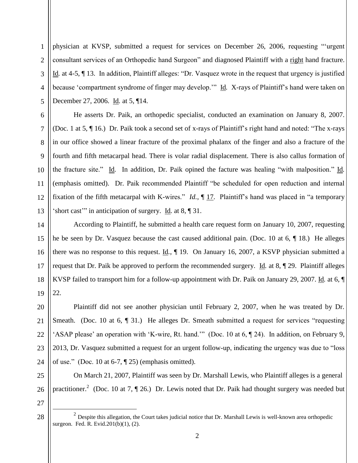1 2 3 4 5 physician at KVSP, submitted a request for services on December 26, 2006, requesting "'urgent consultant services of an Orthopedic hand Surgeon" and diagnosed Plaintiff with a right hand fracture. Id*.* at 4-5, ¶ 13. In addition, Plaintiff alleges: "Dr. Vasquez wrote in the request that urgency is justified because 'compartment syndrome of finger may develop.'" Id*.* X-rays of Plaintiff's hand were taken on December 27, 2006. Id*.* at 5, ¶14.

He asserts Dr. Paik, an orthopedic specialist, conducted an examination on January 8, 2007. (Doc. 1 at 5, ¶ 16.) Dr. Paik took a second set of x-rays of Plaintiff's right hand and noted: "The x-rays in our office showed a linear fracture of the proximal phalanx of the finger and also a fracture of the fourth and fifth metacarpal head. There is volar radial displacement. There is also callus formation of the fracture site." Id*.* In addition, Dr. Paik opined the facture was healing "with malposition." Id*.* (emphasis omitted). Dr. Paik recommended Plaintiff "be scheduled for open reduction and internal fixation of the fifth metacarpal with K-wires." *Id.*, ¶ 17. Plaintiff's hand was placed in "a temporary 'short cast'" in anticipation of surgery. Id*.* at 8, ¶ 31.

14 15 16 17 18 19 According to Plaintiff, he submitted a health care request form on January 10, 2007, requesting he be seen by Dr. Vasquez because the cast caused additional pain. (Doc. 10 at 6, ¶ 18.) He alleges there was no response to this request. Id*.*, ¶ 19. On January 16, 2007, a KSVP physician submitted a request that Dr. Paik be approved to perform the recommended surgery. Id*.* at 8, ¶ 29. Plaintiff alleges KVSP failed to transport him for a follow-up appointment with Dr. Paik on January 29, 2007. Id*.* at 6, ¶ 22.

20 21 22 23 24 Plaintiff did not see another physician until February 2, 2007, when he was treated by Dr. Smeath. (Doc. 10 at 6, ¶ 31.) He alleges Dr. Smeath submitted a request for services "requesting 'ASAP please' an operation with 'K-wire, Rt. hand.'" (Doc. 10 at 6, ¶ 24). In addition, on February 9, 2013, Dr. Vasquez submitted a request for an urgent follow-up, indicating the urgency was due to "loss of use." (Doc. 10 at 6-7,  $\P$  25) (emphasis omitted).

25 26 On March 21, 2007, Plaintiff was seen by Dr. Marshall Lewis, who Plaintiff alleges is a general practitioner.<sup>2</sup> (Doc. 10 at 7,  $\P$  26.) Dr. Lewis noted that Dr. Paik had thought surgery was needed but

27

 $\overline{a}$ 

28

6

7

8

 $\mathbf{Q}$ 

10

11

12

<sup>&</sup>lt;sup>2</sup> Despite this allegation, the Court takes judicial notice that Dr. Marshall Lewis is well-known area orthopedic surgeon. Fed. R. Evid.201(b)(1), (2).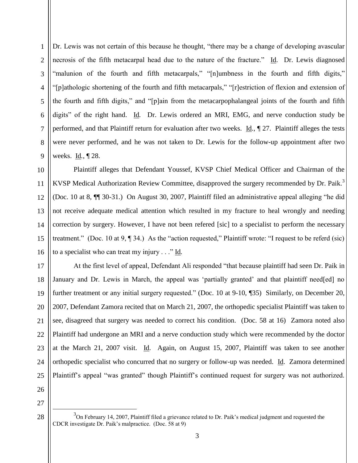1 2 3 4 5 6 7 8  $\mathbf{Q}$ Dr. Lewis was not certain of this because he thought, "there may be a change of developing avascular necrosis of the fifth metacarpal head due to the nature of the fracture." Id. Dr. Lewis diagnosed "malunion of the fourth and fifth metacarpals," "[n]umbness in the fourth and fifth digits," "[p]athologic shortening of the fourth and fifth metacarpals," "[r]estriction of flexion and extension of the fourth and fifth digits," and "[p]ain from the metacarpophalangeal joints of the fourth and fifth digits" of the right hand. Id*.* Dr. Lewis ordered an MRI, EMG, and nerve conduction study be performed, and that Plaintiff return for evaluation after two weeks. Id*.*, ¶ 27. Plaintiff alleges the tests were never performed, and he was not taken to Dr. Lewis for the follow-up appointment after two weeks. Id*.*, ¶ 28.

10 11 12 13 14 15 16 Plaintiff alleges that Defendant Youssef, KVSP Chief Medical Officer and Chairman of the KVSP Medical Authorization Review Committee, disapproved the surgery recommended by Dr. Paik.<sup>3</sup> (Doc. 10 at 8, ¶¶ 30-31.) On August 30, 2007, Plaintiff filed an administrative appeal alleging "he did not receive adequate medical attention which resulted in my fracture to heal wrongly and needing correction by surgery. However, I have not been refered [sic] to a specialist to perform the necessary treatment." (Doc. 10 at 9, ¶ 34.) As the "action requested," Plaintiff wrote: "I request to be referd (sic) to a specialist who can treat my injury . . ." Id*.*

17 18 19 20 21 22 23 24 25 At the first level of appeal, Defendant Ali responded "that because plaintiff had seen Dr. Paik in January and Dr. Lewis in March, the appeal was 'partially granted' and that plaintiff need[ed] no further treatment or any initial surgery requested." (Doc. 10 at 9-10, ¶35) Similarly, on December 20, 2007, Defendant Zamora recited that on March 21, 2007, the orthopedic specialist Plaintiff was taken to see, disagreed that surgery was needed to correct his condition. (Doc. 58 at 16) Zamora noted also Plaintiff had undergone an MRI and a nerve conduction study which were recommended by the doctor at the March 21, 2007 visit. Id. Again, on August 15, 2007, Plaintiff was taken to see another orthopedic specialist who concurred that no surgery or follow-up was needed. Id. Zamora determined Plaintiff's appeal "was granted" though Plaintiff's continued request for surgery was not authorized.

26 27

28

 $\overline{a}$ 

 $3$ On February 14, 2007, Plaintiff filed a grievance related to Dr. Paik's medical judgment and requested the CDCR investigate Dr. Paik's malpractice. (Doc. 58 at 9)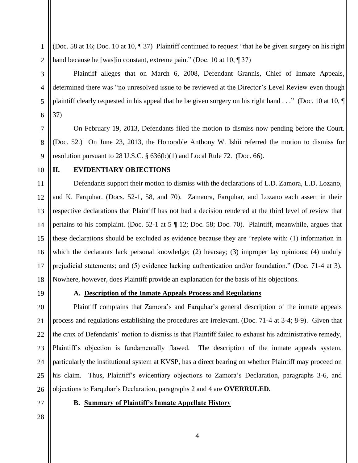(Doc. 58 at 16; Doc. 10 at 10, ¶ 37) Plaintiff continued to request "that he be given surgery on his right hand because he [was]in constant, extreme pain." (Doc. 10 at 10, 1937)

Plaintiff alleges that on March 6, 2008, Defendant Grannis, Chief of Inmate Appeals, determined there was "no unresolved issue to be reviewed at the Director's Level Review even though plaintiff clearly requested in his appeal that he be given surgery on his right hand . . ." (Doc. 10 at 10, ¶ 37)

On February 19, 2013, Defendants filed the motion to dismiss now pending before the Court. (Doc. 52.) On June 23, 2013, the Honorable Anthony W. Ishii referred the motion to dismiss for resolution pursuant to 28 U.S.C. § 636(b)(1) and Local Rule 72. (Doc. 66).

10

1

2

3

4

5

6

7

8

9

## **II. EVIDENTIARY OBJECTIONS**

11 12 13 14 15 16 17 18 Defendants support their motion to dismiss with the declarations of L.D. Zamora, L.D. Lozano, and K. Farquhar. (Docs. 52-1, 58, and 70). Zamaora, Farquhar, and Lozano each assert in their respective declarations that Plaintiff has not had a decision rendered at the third level of review that pertains to his complaint. (Doc. 52-1 at 5 ¶ 12; Doc. 58; Doc. 70). Plaintiff, meanwhile, argues that these declarations should be excluded as evidence because they are "replete with: (1) information in which the declarants lack personal knowledge; (2) hearsay; (3) improper lay opinions; (4) unduly prejudicial statements; and (5) evidence lacking authentication and/or foundation." (Doc. 71-4 at 3). Nowhere, however, does Plaintiff provide an explanation for the basis of his objections.

19

## **A. Description of the Inmate Appeals Process and Regulations**

20 21 22 23 24 25 26 Plaintiff complains that Zamora's and Farquhar's general description of the inmate appeals process and regulations establishing the procedures are irrelevant. (Doc. 71-4 at 3-4; 8-9). Given that the crux of Defendants' motion to dismiss is that Plaintiff failed to exhaust his administrative remedy, Plaintiff's objection is fundamentally flawed. The description of the inmate appeals system, particularly the institutional system at KVSP, has a direct bearing on whether Plaintiff may proceed on his claim. Thus, Plaintiff's evidentiary objections to Zamora's Declaration, paragraphs 3-6, and objections to Farquhar's Declaration, paragraphs 2 and 4 are **OVERRULED.**

27

## **B. Summary of Plaintiff's Inmate Appellate History**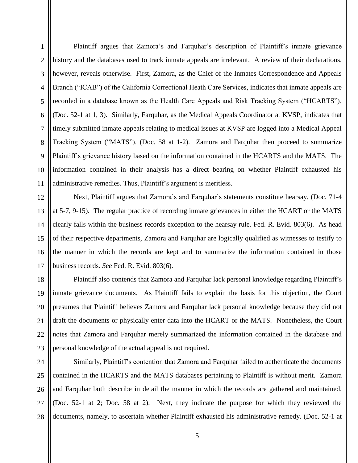1

2

3

4

5

6

7

8

 $\mathbf{Q}$ 

Plaintiff argues that Zamora's and Farquhar's description of Plaintiff's inmate grievance history and the databases used to track inmate appeals are irrelevant. A review of their declarations, however, reveals otherwise. First, Zamora, as the Chief of the Inmates Correspondence and Appeals Branch ("ICAB") of the California Correctional Heath Care Services, indicates that inmate appeals are recorded in a database known as the Health Care Appeals and Risk Tracking System ("HCARTS"). (Doc. 52-1 at 1, 3). Similarly, Farquhar, as the Medical Appeals Coordinator at KVSP, indicates that timely submitted inmate appeals relating to medical issues at KVSP are logged into a Medical Appeal Tracking System ("MATS"). (Doc. 58 at 1-2). Zamora and Farquhar then proceed to summarize Plaintiff's grievance history based on the information contained in the HCARTS and the MATS. The information contained in their analysis has a direct bearing on whether Plaintiff exhausted his administrative remedies. Thus, Plaintiff's argument is meritless.

Next, Plaintiff argues that Zamora's and Farquhar's statements constitute hearsay. (Doc. 71-4 at 5-7, 9-15). The regular practice of recording inmate grievances in either the HCART or the MATS clearly falls within the business records exception to the hearsay rule. Fed. R. Evid. 803(6). As head of their respective departments, Zamora and Farquhar are logically qualified as witnesses to testify to the manner in which the records are kept and to summarize the information contained in those business records. *See* Fed. R. Evid. 803(6).

20 21 22 23 Plaintiff also contends that Zamora and Farquhar lack personal knowledge regarding Plaintiff's inmate grievance documents. As Plaintiff fails to explain the basis for this objection, the Court presumes that Plaintiff believes Zamora and Farquhar lack personal knowledge because they did not draft the documents or physically enter data into the HCART or the MATS. Nonetheless, the Court notes that Zamora and Farquhar merely summarized the information contained in the database and personal knowledge of the actual appeal is not required.

24 25 26 27 28 Similarly, Plaintiff's contention that Zamora and Farquhar failed to authenticate the documents contained in the HCARTS and the MATS databases pertaining to Plaintiff is without merit. Zamora and Farquhar both describe in detail the manner in which the records are gathered and maintained. (Doc. 52-1 at 2; Doc. 58 at 2). Next, they indicate the purpose for which they reviewed the documents, namely, to ascertain whether Plaintiff exhausted his administrative remedy. (Doc. 52-1 at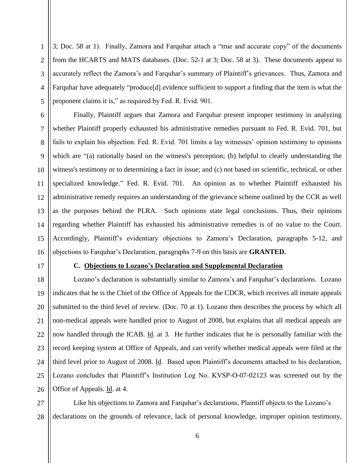1 2 3 4 5 3; Doc. 58 at 1). Finally, Zamora and Farquhar attach a "true and accurate copy" of the documents from the HCARTS and MATS databases. (Doc. 52-1 at 3; Doc. 58 at 3). These documents appear to accurately reflect the Zamora's and Farquhar's summary of Plaintiff's grievances. Thus, Zamora and Farquhar have adequately "produce[d] evidence sufficient to support a finding that the item is what the proponent claims it is," as required by Fed. R. Evid. 901.

6 7 8  $\mathbf{Q}$ 10 11 12 13 14 15 16 Finally, Plaintiff argues that Zamora and Farquhar present improper testimony in analyzing whether Plaintiff properly exhausted his administrative remedies pursuant to Fed. R. Evid. 701, but fails to explain his objection. Fed. R. Evid. 701 limits a lay witnesses' opinion testimony to opinions which are "(a) rationally based on the witness's perception; (b) helpful to clearly understanding the witness's testimony or to determining a fact in issue; and (c) not based on scientific, technical, or other specialized knowledge." Fed. R. Evid. 701. An opinion as to whether Plaintiff exhausted his administrative remedy requires an understanding of the grievance scheme outlined by the CCR as well as the purposes behind the PLRA. Such opinions state legal conclusions. Thus, their opinions regarding whether Plaintiff has exhausted his administrative remedies is of no value to the Court. Accordingly, Plaintiff's evidentiary objections to Zamora's Declaration, paragraphs 5-12, and objections to Farquhar's Declaration, paragraphs 7-9 on this basis are **GRANTED.**

17

## **C. Objections to Lozano's Declaration and Supplemental Declaration**

18 19 20 21 22 23 24 25 26 Lozano's declaration is substantially similar to Zamora's and Farquhar's declarations. Lozano indicates that he is the Chief of the Office of Appeals for the CDCR, which receives all inmate appeals submitted to the third level of review. (Doc. 70 at 1). Lozano then describes the process by which all non-medical appeals were handled prior to August of 2008, but explains that all medical appeals are now handled through the ICAB. Id. at 3. He further indicates that he is personally familiar with the record keeping system at Office of Appeals, and can verify whether medical appeals were filed at the third level prior to August of 2008. Id. Based upon Plaintiff's documents attached to his declaration, Lozano concludes that Plaintiff's Institution Log No. KVSP-O-07-02123 was screened out by the Office of Appeals. Id. at 4.

27 28 Like his objections to Zamora and Farquhar's declarations, Plaintiff objects to the Lozano's declarations on the grounds of relevance, lack of personal knowledge, improper opinion testimony,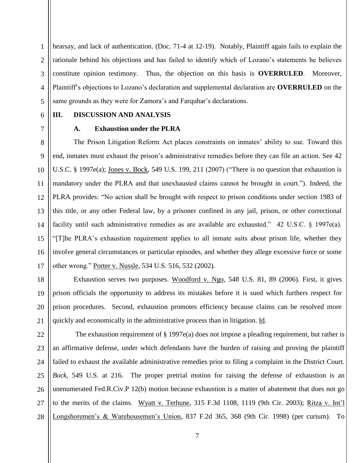1 2 3 4 5 hearsay, and lack of authentication. (Doc. 71-4 at 12-19). Notably, Plaintiff again fails to explain the rationale behind his objections and has failed to identify which of Lozano's statements he believes constitute opinion testimony. Thus, the objection on this basis is **OVERRULED**. Moreover, Plaintiff's objections to Lozano's declaration and supplemental declaration are **OVERRULED** on the same grounds as they were for Zamora's and Farquhar's declarations.

6

7

#### **III. DISCUSSION AND ANALYSIS**

## **A. Exhaustion under the PLRA**

8  $\mathbf{Q}$ 10 11 12 13 14 15 16 17 The Prison Litigation Reform Act places constraints on inmates' ability to sue. Toward this end, inmates must exhaust the prison's administrative remedies before they can file an action. See 42 U.S.C. § 1997e(a); Jones v. Bock, 549 U.S. 199, 211 (2007) ("There is no question that exhaustion is mandatory under the PLRA and that unexhausted claims cannot be brought in court."). Indeed, the PLRA provides: "No action shall be brought with respect to prison conditions under section 1983 of this title, or any other Federal law, by a prisoner confined in any jail, prison, or other correctional facility until such administrative remedies as are available are exhausted." 42 U.S.C. § 1997e(a). "[T]he PLRA's exhaustion requirement applies to all inmate suits about prison life, whether they involve general circumstances or particular episodes, and whether they allege excessive force or some other wrong." Porter v. Nussle, 534 U.S. 516, 532 (2002).

18 19 20 21 Exhaustion serves two purposes. Woodford v. Ngo, 548 U.S. 81, 89 (2006). First, it gives prison officials the opportunity to address its mistakes before it is sued which furthers respect for prison procedures. Second, exhaustion promotes efficiency because claims can be resolved more quickly and economically in the administrative process than in litigation. Id.

22 23 24 25 26 27 28 The exhaustion requirement of § 1997e(a) does not impose a pleading requirement, but rather is an affirmative defense, under which defendants have the burden of raising and proving the plaintiff failed to exhaust the available administrative remedies prior to filing a complaint in the District Court. *Bock*, 549 U.S. at 216. The proper pretrial motion for raising the defense of exhaustion is an unenumerated Fed.R.Civ.P 12(b) motion because exhaustion is a matter of abatement that does not go to the merits of the claims. Wyatt v. Terhune, 315 F.3d 1108, 1119 (9th Cir. 2003); Ritza v. Int'l Longshoremen's & Warehousemen's Union, 837 F.2d 365, 368 (9th Cir. 1998) (per curium). To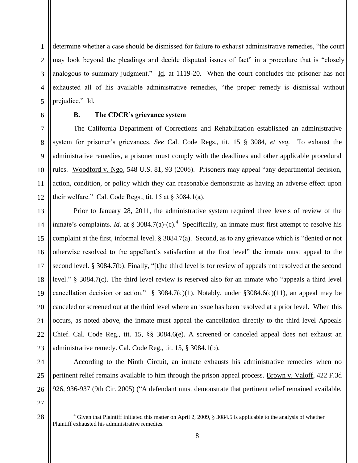1 2 3 4 5 determine whether a case should be dismissed for failure to exhaust administrative remedies, "the court may look beyond the pleadings and decide disputed issues of fact" in a procedure that is "closely analogous to summary judgment." Id. at 1119-20. When the court concludes the prisoner has not exhausted all of his available administrative remedies, "the proper remedy is dismissal without prejudice." Id*.*

6 7

8

 $\mathbf{Q}$ 

10

11

12

## **B. The CDCR's grievance system**

The California Department of Corrections and Rehabilitation established an administrative system for prisoner's grievances. *See* Cal. Code Regs., tit. 15 § 3084, *et seq*. To exhaust the administrative remedies, a prisoner must comply with the deadlines and other applicable procedural rules. Woodford v. Ngo, 548 U.S. 81, 93 (2006). Prisoners may appeal "any departmental decision, action, condition, or policy which they can reasonable demonstrate as having an adverse effect upon their welfare." Cal. Code Regs., tit. 15 at  $\S 3084.1(a)$ .

13 14 15 16 17 18 19 20 21 22 23 Prior to January 28, 2011, the administrative system required three levels of review of the inmate's complaints. *Id.* at § 3084.7(a)-(c).<sup>4</sup> Specifically, an inmate must first attempt to resolve his complaint at the first, informal level. § 3084.7(a). Second, as to any grievance which is "denied or not otherwise resolved to the appellant's satisfaction at the first level" the inmate must appeal to the second level. § 3084.7(b). Finally, "[t]he third level is for review of appeals not resolved at the second level." § 3084.7(c). The third level review is reserved also for an inmate who "appeals a third level cancellation decision or action."  $\frac{8}{9}$  3084.7(c)(1). Notably, under  $\frac{83084.6(c)}{11}$ , an appeal may be canceled or screened out at the third level where an issue has been resolved at a prior level. When this occurs, as noted above, the inmate must appeal the cancellation directly to the third level Appeals Chief. Cal. Code Reg., tit. 15, §§ 3084.6(e). A screened or canceled appeal does not exhaust an administrative remedy. Cal. Code Reg., tit. 15, § 3084.1(b).

According to the Ninth Circuit, an inmate exhausts his administrative remedies when no pertinent relief remains available to him through the prison appeal process. Brown v. Valoff, 422 F.3d 926, 936-937 (9th Cir. 2005) ("A defendant must demonstrate that pertinent relief remained available,

27

 $\overline{a}$ 

28

24

25

<sup>&</sup>lt;sup>4</sup> Given that Plaintiff initiated this matter on April 2, 2009, § 3084.5 is applicable to the analysis of whether Plaintiff exhausted his administrative remedies.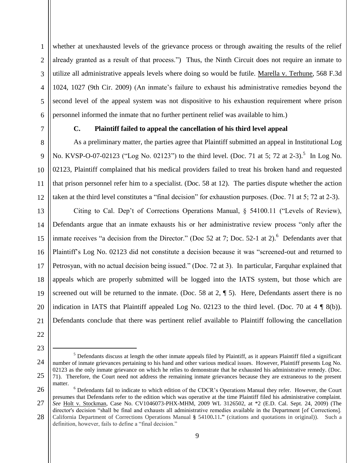whether at unexhausted levels of the grievance process or through awaiting the results of the relief already granted as a result of that process.") Thus, the Ninth Circuit does not require an inmate to utilize all administrative appeals levels where doing so would be futile. Marella v. Terhune, 568 F.3d 1024, 1027 (9th Cir. 2009) (An inmate's failure to exhaust his administrative remedies beyond the second level of the appeal system was not dispositive to his exhaustion requirement where prison personnel informed the inmate that no further pertinent relief was available to him.)

7

1

2

3

4

5

6

8

9

10

11

12

## **C. Plaintiff failed to appeal the cancellation of his third level appeal**

As a preliminary matter, the parties agree that Plaintiff submitted an appeal in Institutional Log No. KVSP-O-07-02123 ("Log No. 02123") to the third level. (Doc. 71 at 5; 72 at 2-3).<sup>5</sup> In Log No. 02123, Plaintiff complained that his medical providers failed to treat his broken hand and requested that prison personnel refer him to a specialist. (Doc. 58 at 12). The parties dispute whether the action taken at the third level constitutes a "final decision" for exhaustion purposes. (Doc. 71 at 5; 72 at 2-3).

13 14 15 16 17 18 19 20 21 Citing to Cal. Dep't of Corrections Operations Manual, § 54100.11 ("Levels of Review), Defendants argue that an inmate exhausts his or her administrative review process "only after the inmate receives "a decision from the Director." (Doc 52 at 7; Doc. 52-1 at 2). <sup>6</sup> Defendants aver that Plaintiff's Log No. 02123 did not constitute a decision because it was "screened-out and returned to Petrosyan, with no actual decision being issued." (Doc. 72 at 3). In particular, Farquhar explained that appeals which are properly submitted will be logged into the IATS system, but those which are screened out will be returned to the inmate. (Doc. 58 at 2,  $\parallel$  5). Here, Defendants assert there is no indication in IATS that Plaintiff appealed Log No. 02123 to the third level. (Doc. 70 at  $4 \nparallel 8(b)$ ). Defendants conclude that there was pertinent relief available to Plaintiff following the cancellation

- 22
- 23

 $\overline{a}$ 

24

 $<sup>5</sup>$  Defendants discuss at length the other inmate appeals filed by Plaintiff, as it appears Plaintiff filed a significant</sup> number of inmate grievances pertaining to his hand and other various medical issues. However, Plaintiff presents Log No. 02123 as the only inmate grievance on which he relies to demonstrate that he exhausted his administrative remedy. (Doc. 71). Therefore, the Court need not address the remaining inmate grievances because they are extraneous to the present matter.

<sup>26</sup> 27 28 <sup>6</sup> Defendants fail to indicate to which edition of the CDCR's Operations Manual they refer. However, the Court presumes that Defendants refer to the edition which was operative at the time Plaintiff filed his administrative complaint. *See* Holt v. Stockman, Case No. CV1046073-PHX-MHM, 2009 WL 3126502, at \*2 (E.D. Cal. Sept. 24, 2009) (The director's decision "shall be final and exhausts all administrative remedies available in the Department [of Corrections]. California Department of Corrections Operations Manual **§** 54100**.**11**."** (citations and quotations in original)). Such a definition, however, fails to define a "final decision."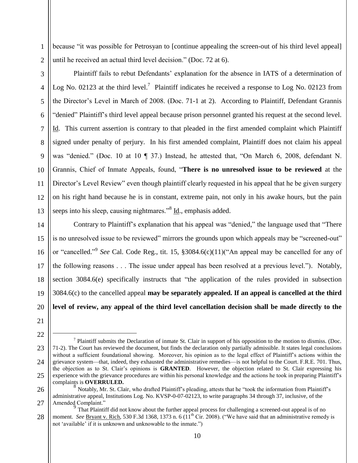because "it was possible for Petrosyan to [continue appealing the screen-out of his third level appeal] until he received an actual third level decision." (Doc. 72 at 6).

2 3

4

5

6

7

8

9

10

11

12

13

1

Plaintiff fails to rebut Defendants' explanation for the absence in IATS of a determination of Log No. 02123 at the third level.<sup>7</sup> Plaintiff indicates he received a response to Log No. 02123 from the Director's Level in March of 2008. (Doc. 71-1 at 2). According to Plaintiff, Defendant Grannis "denied" Plaintiff's third level appeal because prison personnel granted his request at the second level. Id. This current assertion is contrary to that pleaded in the first amended complaint which Plaintiff signed under penalty of perjury. In his first amended complaint, Plaintiff does not claim his appeal was "denied." (Doc. 10 at 10 ¶ 37.) Instead, he attested that, "On March 6, 2008, defendant N. Grannis, Chief of Inmate Appeals, found, "**There is no unresolved issue to be reviewed** at the Director's Level Review" even though plaintiff clearly requested in his appeal that he be given surgery on his right hand because he is in constant, extreme pain, not only in his awake hours, but the pain seeps into his sleep, causing nightmares."<sup>8</sup> Id., emphasis added.

14 15 16 17 18 19 20 Contrary to Plaintiff's explanation that his appeal was "denied," the language used that "There is no unresolved issue to be reviewed" mirrors the grounds upon which appeals may be "screened-out" or "cancelled." 9 *See* Cal. Code Reg., tit. 15, §3084.6(c)(11)("An appeal may be cancelled for any of the following reasons . . . The issue under appeal has been resolved at a previous level."). Notably, section 3084.6(e) specifically instructs that "the application of the rules provided in subsection 3084.6(c) to the cancelled appeal **may be separately appealed. If an appeal is cancelled at the third level of review, any appeal of the third level cancellation decision shall be made directly to the** 

21

22

 $\overline{a}$ 

<sup>23</sup> 24 25  $<sup>7</sup>$  Plaintiff submits the Declaration of inmate St. Clair in support of his opposition to the motion to dismiss. (Doc.</sup> 71-2). The Court has reviewed the document, but finds the declaration only partially admissible. It states legal conclusions without a sufficient foundational showing. Moreover, his opinion as to the legal effect of Plaintiff's actions within the grievance system—that, indeed, they exhausted the administrative remedies—is not helpful to the Court. F.R.E. 701. Thus, the objection as to St. Clair's opinions is **GRANTED**. However, the objection related to St. Clair expressing his experience with the grievance procedures are within his personal knowledge and the actions he took in preparing Plaintiff's complaints is **OVERRULED.**

<sup>26</sup> 27 8 Notably, Mr. St. Clair, who drafted Plaintiff's pleading, attests that he "took the information from Plaintiff's administrative appeal, Institutions Log. No. KVSP-0-07-02123, to write paragraphs 34 through 37, inclusive, of the Amended Complaint."

<sup>28</sup> <sup>9</sup> That Plaintiff did not know about the further appeal process for challenging a screened-out appeal is of no moment. *See* Bryant v. Rich, 530 F.3d 1368, 1373 n. 6 (11<sup>th</sup> Cir. 2008). ("We have said that an administrative remedy is not 'available' if it is unknown and unknowable to the inmate.")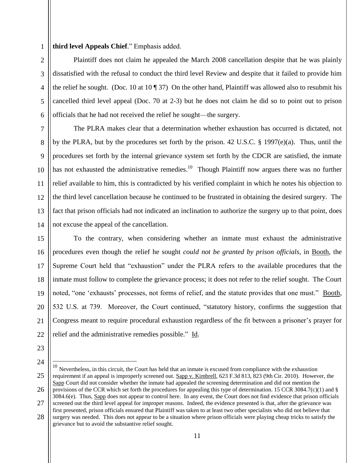**third level Appeals Chief**." Emphasis added.

Plaintiff does not claim he appealed the March 2008 cancellation despite that he was plainly dissatisfied with the refusal to conduct the third level Review and despite that it failed to provide him the relief he sought. (Doc. 10 at 10  $\parallel$  37) On the other hand, Plaintiff was allowed also to resubmit his cancelled third level appeal (Doc. 70 at 2-3) but he does not claim he did so to point out to prison officials that he had not received the relief he sought—the surgery.

The PLRA makes clear that a determination whether exhaustion has occurred is dictated, not by the PLRA, but by the procedures set forth by the prison. 42 U.S.C. § 1997(e)(a). Thus, until the procedures set forth by the internal grievance system set forth by the CDCR are satisfied, the inmate has not exhausted the administrative remedies.<sup>10</sup> Though Plaintiff now argues there was no further relief available to him, this is contradicted by his verified complaint in which he notes his objection to the third level cancellation because he continued to be frustrated in obtaining the desired surgery. The fact that prison officials had not indicated an inclination to authorize the surgery up to that point, does not excuse the appeal of the cancellation.

15 16 17 18 19 20 21 22 To the contrary, when considering whether an inmate must exhaust the administrative procedures even though the relief he sought *could not be granted by prison officials*, in Booth, the Supreme Court held that "exhaustion" under the PLRA refers to the available procedures that the inmate must follow to complete the grievance process; it does not refer to the relief sought. The Court noted, "one 'exhausts' processes, not forms of relief, and the statute provides that one must." Booth, 532 U.S. at 739. Moreover, the Court continued, "statutory history, confirms the suggestion that Congress meant to require procedural exhaustion regardless of the fit between a prisoner's prayer for relief and the administrative remedies possible." Id.

23

1

2

3

4

5

6

7

8

 $\mathbf{Q}$ 

10

11

12

13

14

24

 $\overline{a}$ 

grievance but to avoid the substantive relief sought.

<sup>25</sup> 26 27 28  $10$  Nevertheless, in this circuit, the Court has held that an inmate is excused from compliance with the exhaustion requirement if an appeal is improperly screened out. Sapp v. Kimbrell, 623 F.3d 813, 823 (9th Cir. 2010). However, the Sapp Court did not consider whether the inmate had appealed the screening determination and did not mention the provisions of the CCR which set forth the procedures for appealing this type of determination. 15 CCR 3084.7(c)(1) and  $\S$ 3084.6(e). Thus, Sapp does not appear to control here. In any event, the Court does not find evidence that prison officials screened out the third level appeal for improper reasons. Indeed, the evidence presented is that, after the grievance was first presented, prison officials ensured that Plaintiff was taken to at least two other specialists who did not believe that surgery was needed. This does not appear to be a situation where prison officials were playing cheap tricks to satisfy the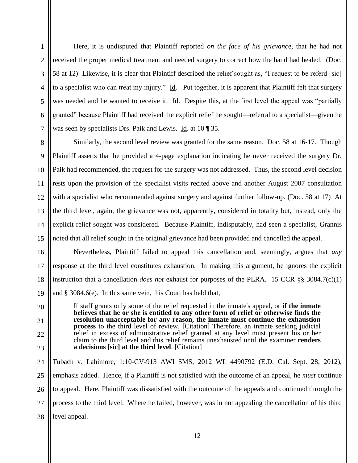1

Here, it is undisputed that Plaintiff reported *on the face of his grievanc*e, that he had not received the proper medical treatment and needed surgery to correct how the hand had healed. (Doc. 58 at 12) Likewise, it is clear that Plaintiff described the relief sought as, "I request to be referd [sic] to a specialist who can treat my injury." Id. Put together, it is apparent that Plaintiff felt that surgery was needed and he wanted to receive it. Id. Despite this, at the first level the appeal was "partially granted" because Plaintiff had received the explicit relief he sought—referral to a specialist—given he was seen by specialists Drs. Paik and Lewis. Id. at 10 ¶ 35.

Similarly, the second level review was granted for the same reason. Doc. 58 at 16-17. Though Plaintiff asserts that he provided a 4-page explanation indicating he never received the surgery Dr. Paik had recommended, the request for the surgery was not addressed. Thus, the second level decision rests upon the provision of the specialist visits recited above and another August 2007 consultation with a specialist who recommended against surgery and against further follow-up. (Doc. 58 at 17) At the third level, again, the grievance was not, apparently, considered in totality but, instead, only the explicit relief sought was considered. Because Plaintiff, indisputably, had seen a specialist, Grannis noted that all relief sought in the original grievance had been provided and cancelled the appeal.

Nevertheless, Plaintiff failed to appeal this cancellation and, seemingly, argues that *any* response at the third level constitutes exhaustion. In making this argument, he ignores the explicit instruction that a cancellation *does not* exhaust for purposes of the PLRA. 15 CCR §§ 3084.7(c)(1) and § 3084.6(e). In this same vein, this Court has held that,

If staff grants only some of the relief requested in the inmate's appeal, or **if the inmate believes that he or she is entitled to any other form of relief or otherwise finds the resolution unacceptable for any reason, the inmate must continue the exhaustion process** to the third level of review. [Citation] Therefore, an inmate seeking judicial relief in excess of administrative relief granted at any level must present his or her claim to the third level and this relief remains unexhausted until the examiner **renders a decisions [sic] at the third level**. [Citation]

24 25 26 27 28 Tubach v. Lahimore, 1:10-CV-913 AWI SMS, 2012 WL 4490792 (E.D. Cal. Sept. 28, 2012), emphasis added. Hence, if a Plaintiff is not satisfied with the outcome of an appeal, he *must* continue to appeal. Here, Plaintiff was dissatisfied with the outcome of the appeals and continued through the process to the third level. Where he failed, however, was in not appealing the cancellation of his third level appeal.